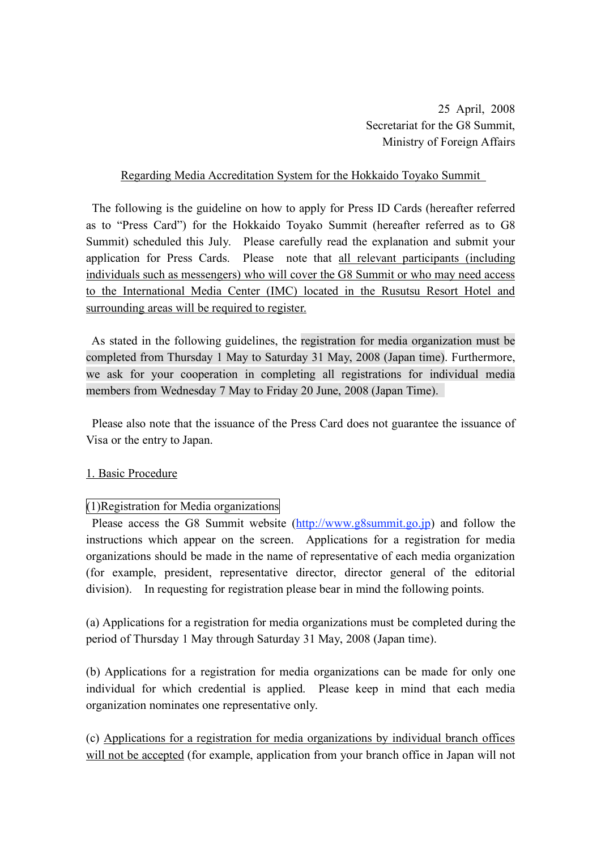25 April, 2008 Secretariat for the G8 Summit, Ministry of Foreign Affairs

#### Regarding Media Accreditation System for the Hokkaido Toyako Summit

The following is the guideline on how to apply for Press ID Cards (hereafter referred as to "Press Card") for the Hokkaido Toyako Summit (hereafter referred as to G8 Summit) scheduled this July. Please carefully read the explanation and submit your application for Press Cards. Please note that all relevant participants (including individuals such as messengers) who will cover the G8 Summit or who may need access to the International Media Center (IMC) located in the Rusutsu Resort Hotel and surrounding areas will be required to register.

 As stated in the following guidelines, the registration for media organization must be completed from Thursday 1 May to Saturday 31 May, 2008 (Japan time). Furthermore, we ask for your cooperation in completing all registrations for individual media members from Wednesday 7 May to Friday 20 June, 2008 (Japan Time).

 Please also note that the issuance of the Press Card does not guarantee the issuance of Visa or the entry to Japan.

#### 1. Basic Procedure

#### (1)Registration for Media organizations

Please access the G8 Summit website (http://www.g8summit.go.jp) and follow the instructions which appear on the screen. Applications for a registration for media organizations should be made in the name of representative of each media organization (for example, president, representative director, director general of the editorial division). In requesting for registration please bear in mind the following points.

(a) Applications for a registration for media organizations must be completed during the period of Thursday 1 May through Saturday 31 May, 2008 (Japan time).

(b) Applications for a registration for media organizations can be made for only one individual for which credential is applied. Please keep in mind that each media organization nominates one representative only.

(c) Applications for a registration for media organizations by individual branch offices will not be accepted (for example, application from your branch office in Japan will not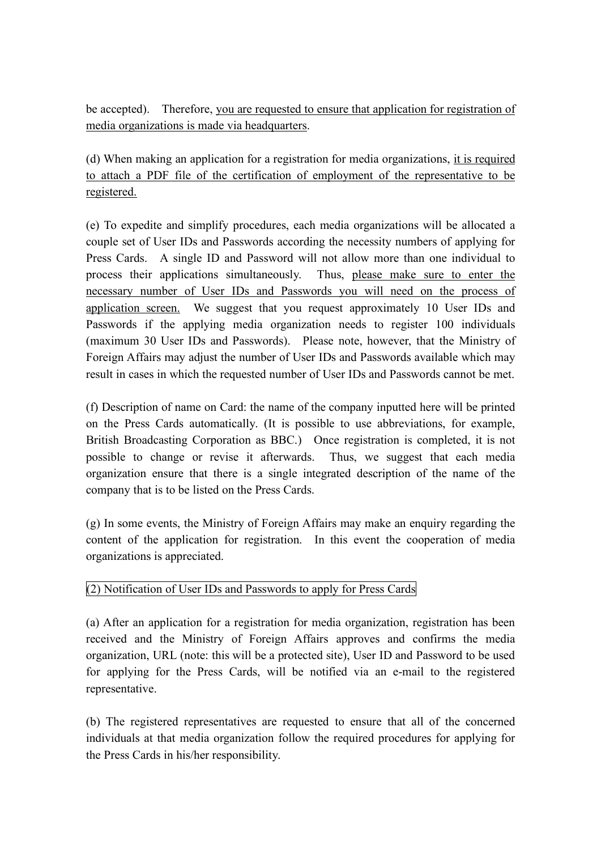be accepted). Therefore, you are requested to ensure that application for registration of media organizations is made via headquarters.

(d) When making an application for a registration for media organizations, it is required to attach a PDF file of the certification of employment of the representative to be registered.

(e) To expedite and simplify procedures, each media organizations will be allocated a couple set of User IDs and Passwords according the necessity numbers of applying for Press Cards. A single ID and Password will not allow more than one individual to process their applications simultaneously. Thus, please make sure to enter the necessary number of User IDs and Passwords you will need on the process of application screen. We suggest that you request approximately 10 User IDs and Passwords if the applying media organization needs to register 100 individuals (maximum 30 User IDs and Passwords). Please note, however, that the Ministry of Foreign Affairs may adjust the number of User IDs and Passwords available which may result in cases in which the requested number of User IDs and Passwords cannot be met.

(f) Description of name on Card: the name of the company inputted here will be printed on the Press Cards automatically. (It is possible to use abbreviations, for example, British Broadcasting Corporation as BBC.) Once registration is completed, it is not possible to change or revise it afterwards. Thus, we suggest that each media organization ensure that there is a single integrated description of the name of the company that is to be listed on the Press Cards.

(g) In some events, the Ministry of Foreign Affairs may make an enquiry regarding the content of the application for registration. In this event the cooperation of media organizations is appreciated.

## (2) Notification of User IDs and Passwords to apply for Press Cards

(a) After an application for a registration for media organization, registration has been received and the Ministry of Foreign Affairs approves and confirms the media organization, URL (note: this will be a protected site), User ID and Password to be used for applying for the Press Cards, will be notified via an e-mail to the registered representative.

(b) The registered representatives are requested to ensure that all of the concerned individuals at that media organization follow the required procedures for applying for the Press Cards in his/her responsibility.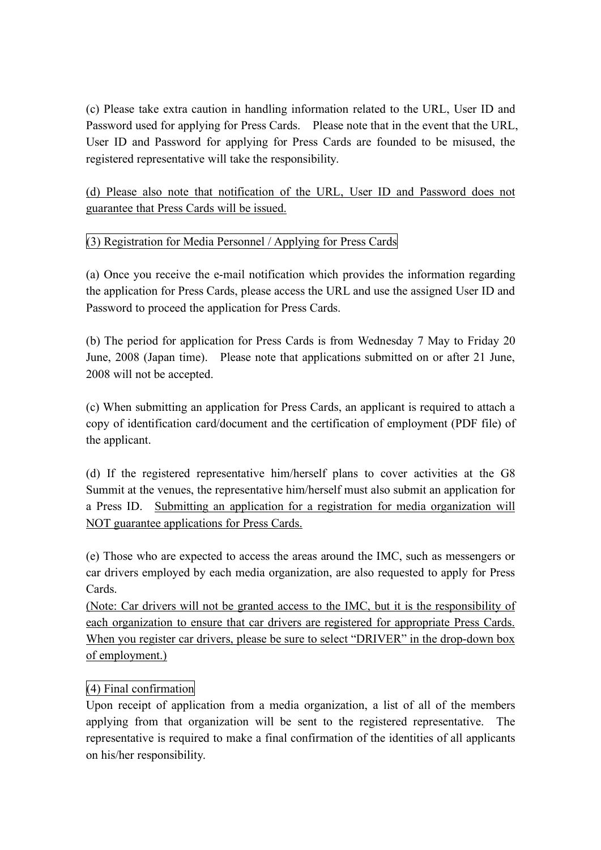(c) Please take extra caution in handling information related to the URL, User ID and Password used for applying for Press Cards. Please note that in the event that the URL, User ID and Password for applying for Press Cards are founded to be misused, the registered representative will take the responsibility.

(d) Please also note that notification of the URL, User ID and Password does not guarantee that Press Cards will be issued.

## (3) Registration for Media Personnel / Applying for Press Cards

(a) Once you receive the e-mail notification which provides the information regarding the application for Press Cards, please access the URL and use the assigned User ID and Password to proceed the application for Press Cards.

(b) The period for application for Press Cards is from Wednesday 7 May to Friday 20 June, 2008 (Japan time). Please note that applications submitted on or after 21 June, 2008 will not be accepted.

(c) When submitting an application for Press Cards, an applicant is required to attach a copy of identification card/document and the certification of employment (PDF file) of the applicant.

(d) If the registered representative him/herself plans to cover activities at the G8 Summit at the venues, the representative him/herself must also submit an application for a Press ID. Submitting an application for a registration for media organization will NOT guarantee applications for Press Cards.

(e) Those who are expected to access the areas around the IMC, such as messengers or car drivers employed by each media organization, are also requested to apply for Press Cards.

(Note: Car drivers will not be granted access to the IMC, but it is the responsibility of each organization to ensure that car drivers are registered for appropriate Press Cards. When you register car drivers, please be sure to select "DRIVER" in the drop-down box of employment.)

## (4) Final confirmation

Upon receipt of application from a media organization, a list of all of the members applying from that organization will be sent to the registered representative. The representative is required to make a final confirmation of the identities of all applicants on his/her responsibility.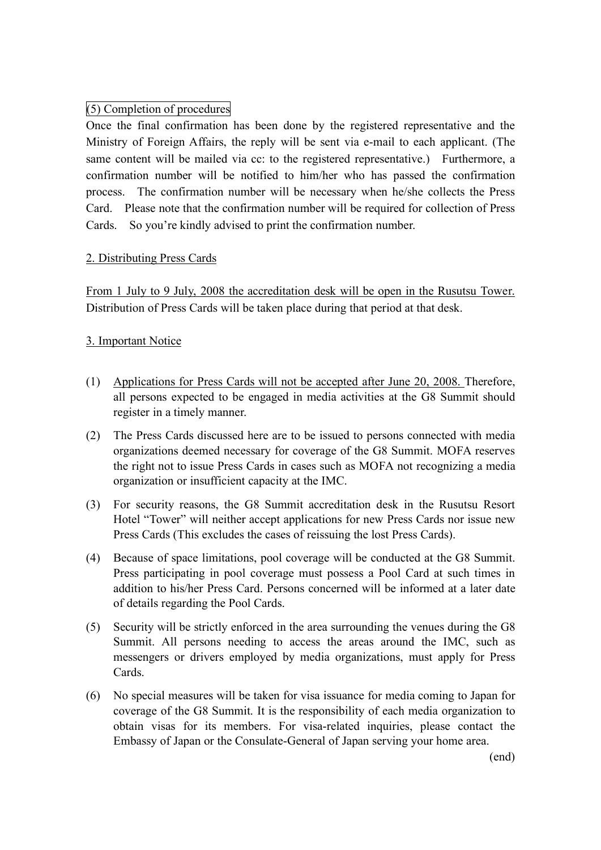## (5) Completion of procedures

Once the final confirmation has been done by the registered representative and the Ministry of Foreign Affairs, the reply will be sent via e-mail to each applicant. (The same content will be mailed via cc: to the registered representative.) Furthermore, a confirmation number will be notified to him/her who has passed the confirmation process. The confirmation number will be necessary when he/she collects the Press Card. Please note that the confirmation number will be required for collection of Press Cards. So you're kindly advised to print the confirmation number.

## 2. Distributing Press Cards

From 1 July to 9 July, 2008 the accreditation desk will be open in the Rusutsu Tower. Distribution of Press Cards will be taken place during that period at that desk.

#### 3. Important Notice

- (1) Applications for Press Cards will not be accepted after June 20, 2008. Therefore, all persons expected to be engaged in media activities at the G8 Summit should register in a timely manner.
- (2) The Press Cards discussed here are to be issued to persons connected with media organizations deemed necessary for coverage of the G8 Summit. MOFA reserves the right not to issue Press Cards in cases such as MOFA not recognizing a media organization or insufficient capacity at the IMC.
- (3) For security reasons, the G8 Summit accreditation desk in the Rusutsu Resort Hotel "Tower" will neither accept applications for new Press Cards nor issue new Press Cards (This excludes the cases of reissuing the lost Press Cards).
- (4) Because of space limitations, pool coverage will be conducted at the G8 Summit. Press participating in pool coverage must possess a Pool Card at such times in addition to his/her Press Card. Persons concerned will be informed at a later date of details regarding the Pool Cards.
- (5) Security will be strictly enforced in the area surrounding the venues during the G8 Summit. All persons needing to access the areas around the IMC, such as messengers or drivers employed by media organizations, must apply for Press Cards.
- (6) No special measures will be taken for visa issuance for media coming to Japan for coverage of the G8 Summit. It is the responsibility of each media organization to obtain visas for its members. For visa-related inquiries, please contact the Embassy of Japan or the Consulate-General of Japan serving your home area.

(end)